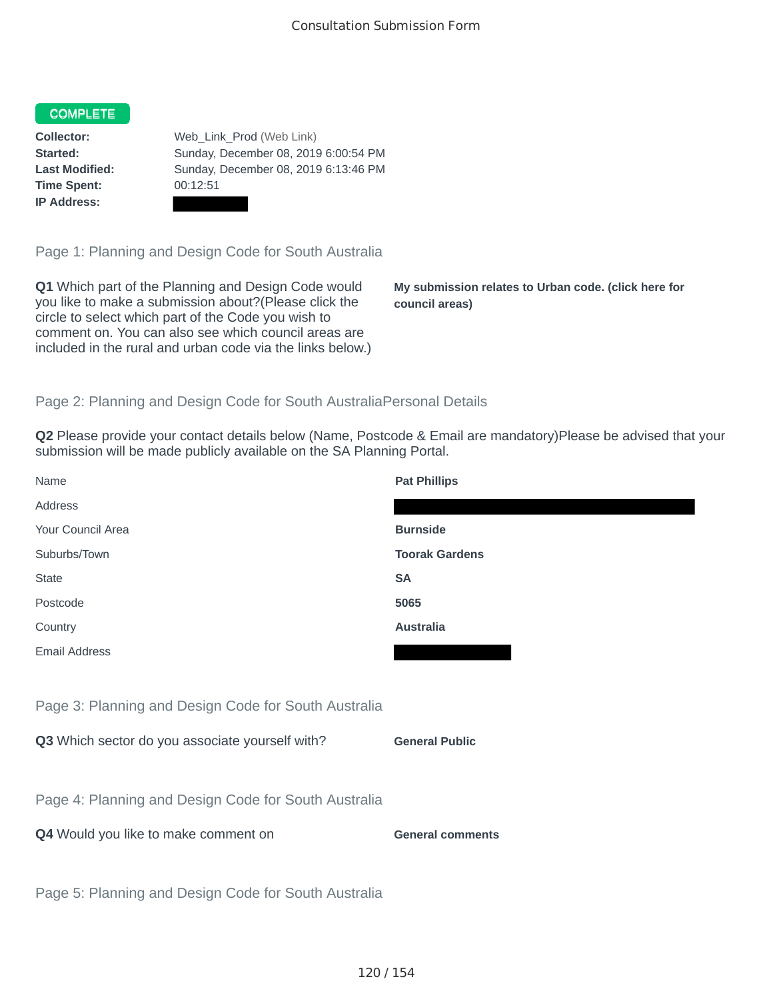#### COMPLETE

**Time Spent:** 00:12:51 **IP Address:**

**Collector:** Web\_Link\_Prod (Web Link) **Started:** Sunday, December 08, 2019 6:00:54 PM **Last Modified:** Sunday, December 08, 2019 6:13:46 PM

Page 1: Planning and Design Code for South Australia

**Q1** Which part of the Planning and Design Code would you like to make a submission about?(Please click the circle to select which part of the Code you wish to comment on. You can also see which council areas are included in the rural and urban code via the links below.)

**My submission relates to Urban code. (click here for council areas)**

### Page 2: Planning and Design Code for South AustraliaPersonal Details

**Q2** Please provide your contact details below (Name, Postcode & Email are mandatory)Please be advised that your submission will be made publicly available on the SA Planning Portal.

| Name                                                 | <b>Pat Phillips</b>     |
|------------------------------------------------------|-------------------------|
| Address                                              |                         |
| Your Council Area                                    | <b>Burnside</b>         |
| Suburbs/Town                                         | <b>Toorak Gardens</b>   |
| <b>State</b>                                         | <b>SA</b>               |
| Postcode                                             | 5065                    |
| Country                                              | <b>Australia</b>        |
| <b>Email Address</b>                                 |                         |
|                                                      |                         |
| Page 3: Planning and Design Code for South Australia |                         |
| Q3 Which sector do you associate yourself with?      | <b>General Public</b>   |
|                                                      |                         |
| Page 4: Planning and Design Code for South Australia |                         |
| Q4 Would you like to make comment on                 | <b>General comments</b> |
|                                                      |                         |
| Page 5: Planning and Design Code for South Australia |                         |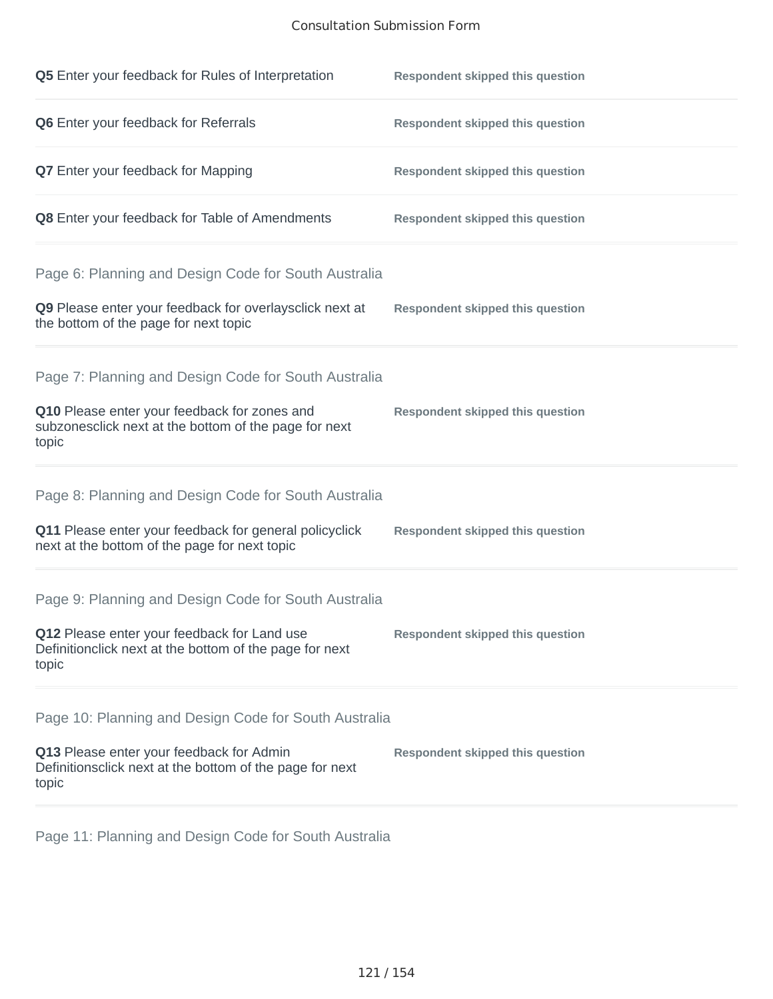## Consultation Submission Form

| Q5 Enter your feedback for Rules of Interpretation                                                              | <b>Respondent skipped this question</b> |
|-----------------------------------------------------------------------------------------------------------------|-----------------------------------------|
| Q6 Enter your feedback for Referrals                                                                            | <b>Respondent skipped this question</b> |
| <b>Q7</b> Enter your feedback for Mapping                                                                       | <b>Respondent skipped this question</b> |
| Q8 Enter your feedback for Table of Amendments                                                                  | <b>Respondent skipped this question</b> |
| Page 6: Planning and Design Code for South Australia                                                            |                                         |
| Q9 Please enter your feedback for overlaysclick next at<br>the bottom of the page for next topic                | <b>Respondent skipped this question</b> |
| Page 7: Planning and Design Code for South Australia                                                            |                                         |
| Q10 Please enter your feedback for zones and<br>subzonesclick next at the bottom of the page for next<br>topic  | <b>Respondent skipped this question</b> |
| Page 8: Planning and Design Code for South Australia                                                            |                                         |
| Q11 Please enter your feedback for general policyclick<br>next at the bottom of the page for next topic         | <b>Respondent skipped this question</b> |
| Page 9: Planning and Design Code for South Australia                                                            |                                         |
| Q12 Please enter your feedback for Land use<br>Definitionclick next at the bottom of the page for next<br>topic | <b>Respondent skipped this question</b> |
| Page 10: Planning and Design Code for South Australia                                                           |                                         |
| Q13 Please enter your feedback for Admin<br>Definitionsclick next at the bottom of the page for next<br>topic   | <b>Respondent skipped this question</b> |

Page 11: Planning and Design Code for South Australia